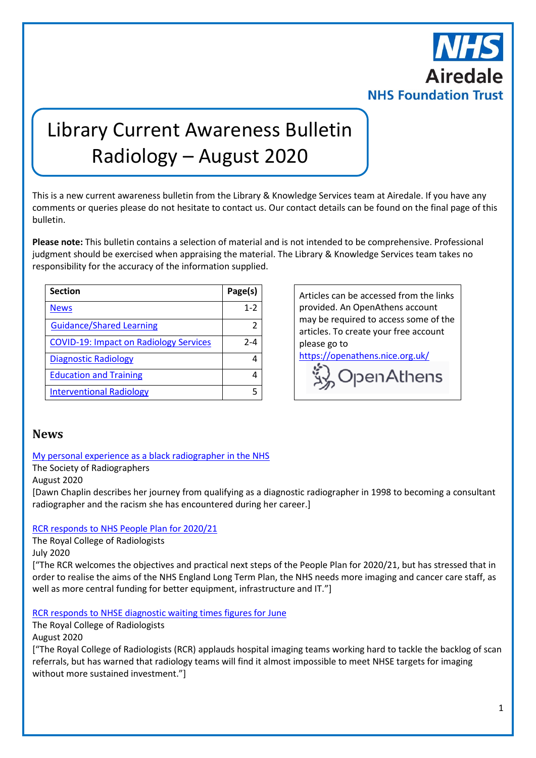

# Library Current Awareness Bulletin Radiology – August 2020

This is a new current awareness bulletin from the Library & Knowledge Services team at Airedale. If you have any comments or queries please do not hesitate to contact us. Our contact details can be found on the final page of this bulletin.

**Please note:** This bulletin contains a selection of material and is not intended to be comprehensive. Professional judgment should be exercised when appraising the material. The Library & Knowledge Services team takes no responsibility for the accuracy of the information supplied.

| <b>Section</b>                                | Page(s) |  |
|-----------------------------------------------|---------|--|
| <b>News</b>                                   | $1 - 2$ |  |
| <b>Guidance/Shared Learning</b>               |         |  |
| <b>COVID-19: Impact on Radiology Services</b> | $2 - 4$ |  |
| <b>Diagnostic Radiology</b>                   |         |  |
| <b>Education and Training</b>                 | 4       |  |
| <b>Interventional Radiology</b>               | 5       |  |

Articles can be accessed from the links provided. An OpenAthens account may be required to access some of the articles. To create your free account please go to

<https://openathens.nice.org.uk/>

vy OpenAthens

#### <span id="page-0-0"></span>**News**

[My personal experience as a black radiographer in the NHS](https://www.sor.org/news/my-personal-experience-black-radiographer-nhs)

The Society of Radiographers

August 2020

[Dawn Chaplin describes her journey from qualifying as a diagnostic radiographer in 1998 to becoming a consultant radiographer and the racism she has encountered during her career.]

#### [RCR responds to NHS People Plan for 2020/21](https://www.rcr.ac.uk/posts/rcr-responds-nhs-people-plan-202021)

The Royal College of Radiologists

July 2020

["The RCR welcomes the objectives and practical next steps of the People Plan for 2020/21, but has stressed that in order to realise the aims of the NHS England Long Term Plan, the NHS needs more imaging and cancer care staff, as well as more central funding for better equipment, infrastructure and IT."]

[RCR responds to NHSE diagnostic waiting times figures for June](https://www.rcr.ac.uk/posts/rcr-responds-nhse-diagnostic-waiting-times-figures-june)

The Royal College of Radiologists

August 2020

["The Royal College of Radiologists (RCR) applauds hospital imaging teams working hard to tackle the backlog of scan referrals, but has warned that radiology teams will find it almost impossible to meet NHSE targets for imaging without more sustained investment."]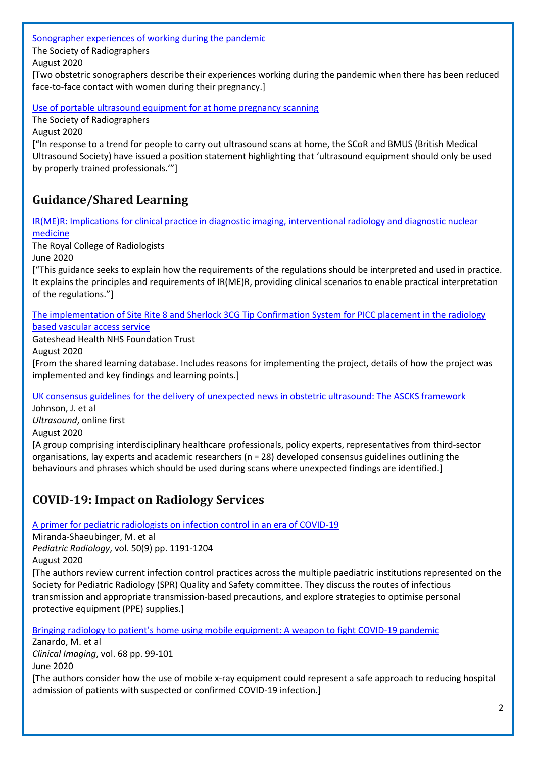[Sonographer experiences of working during the pandemic](https://www.sor.org/news/sonographer-experiences-working-during-pandemic)

The Society of Radiographers

August 2020

[Two obstetric sonographers describe their experiences working during the pandemic when there has been reduced face-to-face contact with women during their pregnancy.]

[Use of portable ultrasound equipment for at home pregnancy scanning](https://www.sor.org/news/use-portable-ultrasound-equipment-home-pregnancy-scanning)

The Society of Radiographers

August 2020

["In response to a trend for people to carry out ultrasound scans at home, the SCoR and BMUS (British Medical Ultrasound Society) have issued a position statement highlighting that 'ultrasound equipment should only be used by properly trained professionals.'"]

## <span id="page-1-0"></span>**Guidance/Shared Learning**

[IR\(ME\)R: Implications for clinical practice in diagnostic imaging, interventional radiology and diagnostic nuclear](https://www.rcr.ac.uk/publication/irmer-implications-diagnostic-imaging-interventional-radiology-diagnostic-nuclear-medicine)  [medicine](https://www.rcr.ac.uk/publication/irmer-implications-diagnostic-imaging-interventional-radiology-diagnostic-nuclear-medicine)

The Royal College of Radiologists

June 2020

["This guidance seeks to explain how the requirements of the regulations should be interpreted and used in practice. It explains the principles and requirements of IR(ME)R, providing clinical scenarios to enable practical interpretation of the regulations."]

[The implementation of Site Rite 8 and Sherlock 3CG Tip Confirmation System for PICC placement in the radiology](https://www.nice.org.uk/sharedlearning/the-implementation-of-site-rite-8-and-sherlock-3cg-tip-confirmation-system-for-picc-placement-in-the-radiology-based-vascular-access-service)  [based vascular access service](https://www.nice.org.uk/sharedlearning/the-implementation-of-site-rite-8-and-sherlock-3cg-tip-confirmation-system-for-picc-placement-in-the-radiology-based-vascular-access-service)

Gateshead Health NHS Foundation Trust

August 2020

[From the shared learning database. Includes reasons for implementing the project, details of how the project was implemented and key findings and learning points.]

[UK consensus guidelines for the delivery of unexpected news in obstetric ultrasound: The ASCKS framework](https://journals.sagepub.com/doi/full/10.1177/1742271X20935911)

Johnson, J. et al *Ultrasound*, online first August 2020 [A group comprising interdisciplinary healthcare professionals, policy experts, representatives from third-sector organisations, lay experts and academic researchers (n = 28) developed consensus guidelines outlining the behaviours and phrases which should be used during scans where unexpected findings are identified.]

## <span id="page-1-1"></span>**COVID-19: Impact on Radiology Services**

[A primer for pediatric radiologists on infection control in an era of COVID-19](https://link.springer.com/content/pdf/10.1007/s00247-020-04713-1.pdf)

Miranda-Shaeubinger, M. et al

*Pediatric Radiology*, vol. 50(9) pp. 1191-1204

August 2020

[The authors review current infection control practices across the multiple paediatric institutions represented on the Society for Pediatric Radiology (SPR) Quality and Safety committee. They discuss the routes of infectious transmission and appropriate transmission-based precautions, and explore strategies to optimise personal protective equipment (PPE) supplies.]

Bringing radiology to patient's home using mobile [equipment: A weapon to fight COVID-19 pandemic](http://europepmc.org/backend/ptpmcrender.fcgi?accid=PMC7301065&blobtype=pdf)

Zanardo, M. et al *Clinical Imaging*, vol. 68 pp. 99-101 June 2020 [The authors consider how the use of mobile x-ray equipment could represent a safe approach to reducing hospital admission of patients with suspected or confirmed COVID-19 infection.]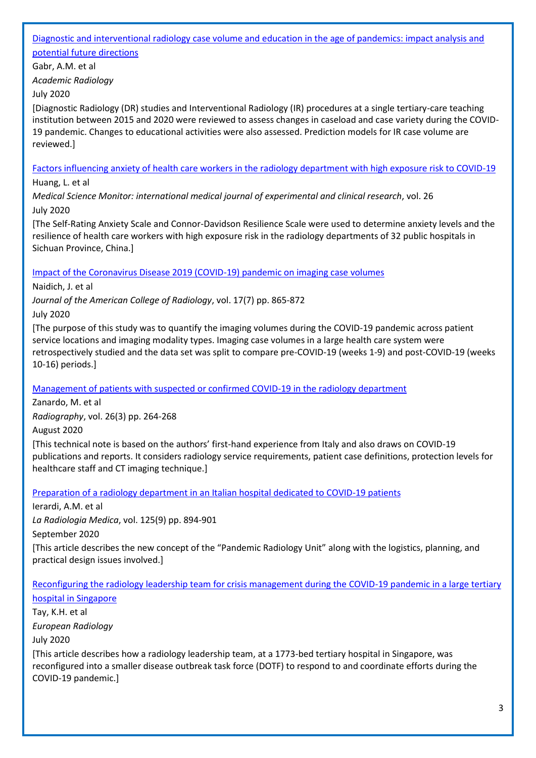#### [Diagnostic and interventional radiology case volume and education in the age of pandemics: impact analysis and](https://www.academicradiology.org/article/S1076-6332(20)30430-X/pdf)  [potential future directions](https://www.academicradiology.org/article/S1076-6332(20)30430-X/pdf)

Gabr, A.M. et al

*Academic Radiology*

#### July 2020

[Diagnostic Radiology (DR) studies and Interventional Radiology (IR) procedures at a single tertiary-care teaching institution between 2015 and 2020 were reviewed to assess changes in caseload and case variety during the COVID-19 pandemic. Changes to educational activities were also assessed. Prediction models for IR case volume are reviewed.]

[Factors influencing anxiety of health care workers in the radiology department with high exposure risk to COVID-19](http://europepmc.org/article/MED/32710536?singleResult=true)

Huang, L. et al

*Medical Science Monitor: international medical journal of experimental and clinical research*, vol. 26 July 2020

[The Self-Rating Anxiety Scale and Connor-Davidson Resilience Scale were used to determine anxiety levels and the resilience of health care workers with high exposure risk in the radiology departments of 32 public hospitals in Sichuan Province, China.]

#### [Impact of the Coronavirus Disease 2019 \(COVID-19\) pandemic on imaging case volumes](https://www.jacr.org/article/S1546-1440(20)30517-2/pdf)

Naidich, J. et al

*Journal of the American College of Radiology*, vol. 17(7) pp. 865-872 July 2020

[The purpose of this study was to quantify the imaging volumes during the COVID-19 pandemic across patient service locations and imaging modality types. Imaging case volumes in a large health care system were retrospectively studied and the data set was split to compare pre-COVID-19 (weeks 1-9) and post-COVID-19 (weeks 10-16) periods.]

#### [Management of patients with suspected or confirmed COVID-19 in the radiology department](https://www.radiographyonline.com/article/S1078-8174(20)30062-6/pdf)

Zanardo, M. et al

*Radiography*, vol. 26(3) pp. 264-268

August 2020

[This technical note is based on the authors' first-hand experience from Italy and also draws on COVID-19 publications and reports. It considers radiology service requirements, patient case definitions, protection levels for healthcare staff and CT imaging technique.]

[Preparation of a radiology department in an Italian hospital dedicated to COVID-19 patients](https://link.springer.com/content/pdf/10.1007/s11547-020-01248-1.pdf)

Ierardi, A.M. et al

*La Radiologia Medica*, vol. 125(9) pp. 894-901

September 2020

[This article describes the new concept of the "Pandemic Radiology Unit" along with the logistics, planning, and practical design issues involved.]

[Reconfiguring the radiology leadership team for crisis management during the COVID-19 pandemic in a large tertiary](https://link.springer.com/content/pdf/10.1007/s00330-020-07116-w.pdf)  [hospital in Singapore](https://link.springer.com/content/pdf/10.1007/s00330-020-07116-w.pdf)

Tay, K.H. et al *European Radiology* July 2020

[This article describes how a radiology leadership team, at a 1773-bed tertiary hospital in Singapore, was reconfigured into a smaller disease outbreak task force (DOTF) to respond to and coordinate efforts during the COVID-19 pandemic.]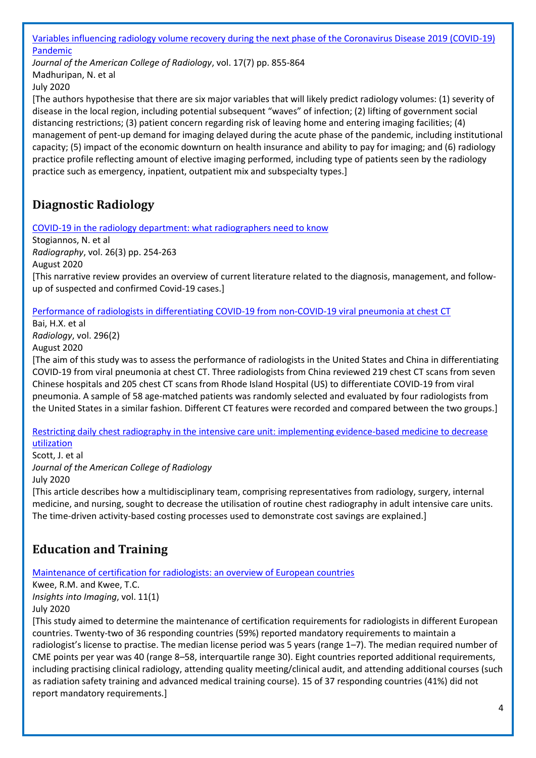[Variables influencing radiology volume recovery during the next phase of the Coronavirus Disease 2019 \(COVID-19\)](https://www.jacr.org/article/S1546-1440(20)30551-2/pdf)  [Pandemic](https://www.jacr.org/article/S1546-1440(20)30551-2/pdf)

*Journal of the American College of Radiology*, vol. 17(7) pp. 855-864 Madhuripan, N. et al July 2020

[The authors hypothesise that there are six major variables that will likely predict radiology volumes: (1) severity of disease in the local region, including potential subsequent "waves" of infection; (2) lifting of government social distancing restrictions; (3) patient concern regarding risk of leaving home and entering imaging facilities; (4) management of pent-up demand for imaging delayed during the acute phase of the pandemic, including institutional capacity; (5) impact of the economic downturn on health insurance and ability to pay for imaging; and (6) radiology practice profile reflecting amount of elective imaging performed, including type of patients seen by the radiology practice such as emergency, inpatient, outpatient mix and subspecialty types.]

# <span id="page-3-0"></span>**Diagnostic Radiology**

[COVID-19 in the radiology department: what radiographers need to know](https://www.radiographyonline.com/article/S1078-8174(20)30084-5/pdf)

Stogiannos, N. et al *Radiography*, vol. 26(3) pp. 254-263 August 2020 [This narrative review provides an overview of current literature related to the diagnosis, management, and followup of suspected and confirmed Covid-19 cases.]

[Performance of radiologists in differentiating COVID-19 from non-COVID-19 viral pneumonia at chest CT](https://pubs.rsna.org/doi/pdf/10.1148/radiol.2020200823)

Bai, H.X. et al *Radiology*, vol. 296(2)

August 2020

[The aim of this study was to assess the performance of radiologists in the United States and China in differentiating COVID-19 from viral pneumonia at chest CT. Three radiologists from China reviewed 219 chest CT scans from seven Chinese hospitals and 205 chest CT scans from Rhode Island Hospital (US) to differentiate COVID-19 from viral pneumonia. A sample of 58 age-matched patients was randomly selected and evaluated by four radiologists from the United States in a similar fashion. Different CT features were recorded and compared between the two groups.]

[Restricting daily chest radiography in the intensive care unit: implementing evidence-based medicine to decrease](https://www.jacr.org/article/S1546-1440(20)30647-5/pdf)  [utilization](https://www.jacr.org/article/S1546-1440(20)30647-5/pdf)

Scott, J. et al *Journal of the American College of Radiology* July 2020

[This article describes how a multidisciplinary team, comprising representatives from radiology, surgery, internal medicine, and nursing, sought to decrease the utilisation of routine chest radiography in adult intensive care units. The time-driven activity-based costing processes used to demonstrate cost savings are explained.]

# <span id="page-3-1"></span>**Education and Training**

[Maintenance of certification for radiologists: an overview of European countries](https://insightsimaging.springeropen.com/articles/10.1186/s13244-020-00893-4)

Kwee, R.M. and Kwee, T.C. *Insights into Imaging*, vol. 11(1) July 2020

[This study aimed to determine the maintenance of certification requirements for radiologists in different European countries. Twenty-two of 36 responding countries (59%) reported mandatory requirements to maintain a radiologist's license to practise. The median license period was 5 years (range 1–7). The median required number of CME points per year was 40 (range 8–58, interquartile range 30). Eight countries reported additional requirements, including practising clinical radiology, attending quality meeting/clinical audit, and attending additional courses (such as radiation safety training and advanced medical training course). 15 of 37 responding countries (41%) did not report mandatory requirements.]